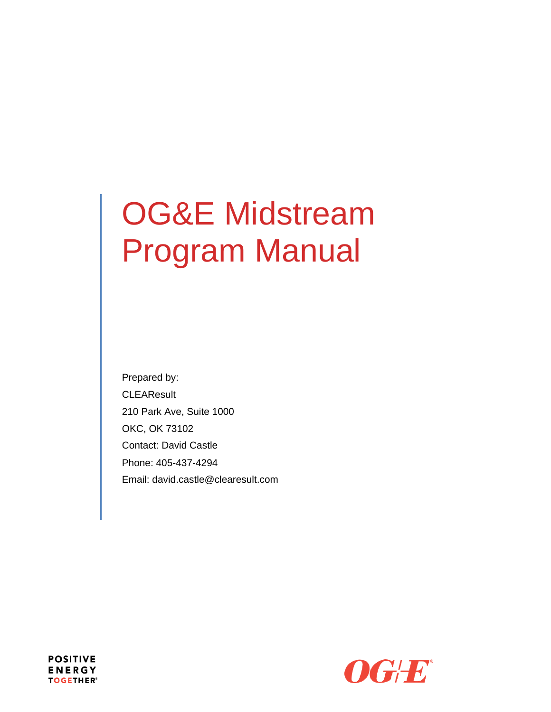# OG&E Midstream Program Manual

Prepared by: **CLEAResult** 210 Park Ave, Suite 1000 OKC, OK 73102 Contact: David Castle Phone: 405-437-4294 Email: david.castle@clearesult.com



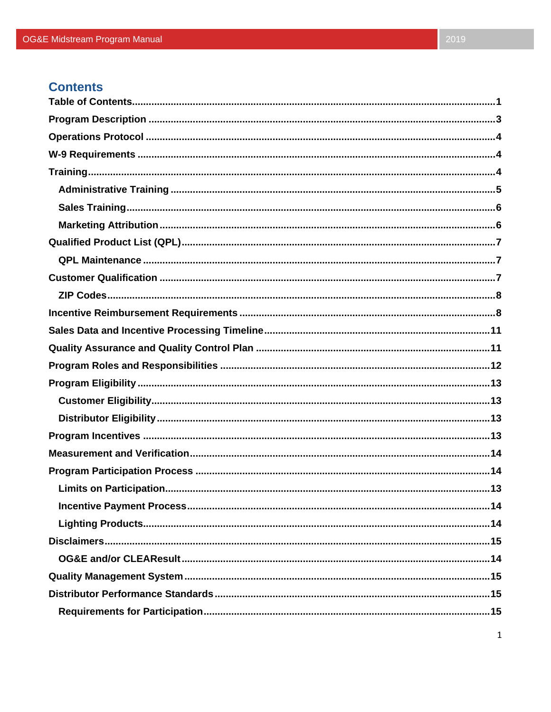# **Contents**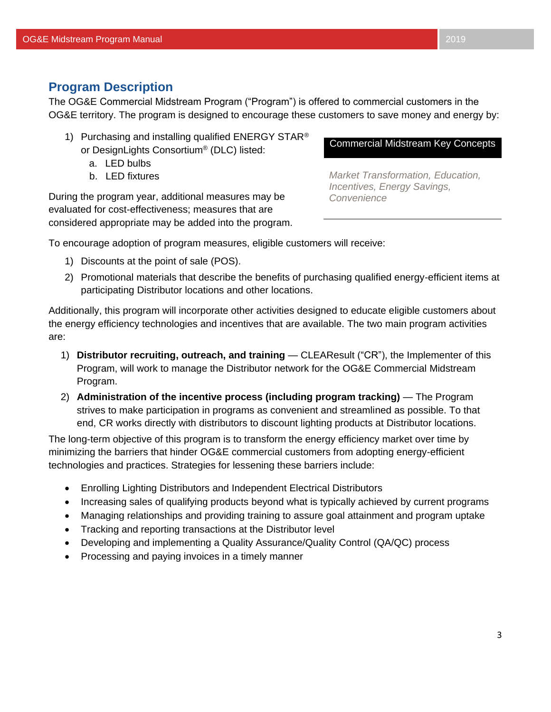## <span id="page-3-0"></span>**Program Description**

The OG&E Commercial Midstream Program ("Program") is offered to commercial customers in the OG&E territory. The program is designed to encourage these customers to save money and energy by:

- 1) Purchasing and installing qualified ENERGY STAR<sup>®</sup> or DesignLights Consortium® (DLC) listed:
	- a. LED bulbs
	- b. LED fixtures

During the program year, additional measures may be evaluated for cost-effectiveness; measures that are considered appropriate may be added into the program.

#### Commercial Midstream Key Concepts

*Market Transformation, Education, Incentives, Energy Savings, Convenience*

To encourage adoption of program measures, eligible customers will receive:

- 1) Discounts at the point of sale (POS).
- 2) Promotional materials that describe the benefits of purchasing qualified energy-efficient items at participating Distributor locations and other locations.

Additionally, this program will incorporate other activities designed to educate eligible customers about the energy efficiency technologies and incentives that are available. The two main program activities are:

- 1) **Distributor recruiting, outreach, and training** CLEAResult ("CR"), the Implementer of this Program, will work to manage the Distributor network for the OG&E Commercial Midstream Program.
- 2) **Administration of the incentive process (including program tracking)** The Program strives to make participation in programs as convenient and streamlined as possible. To that end, CR works directly with distributors to discount lighting products at Distributor locations.

The long-term objective of this program is to transform the energy efficiency market over time by minimizing the barriers that hinder OG&E commercial customers from adopting energy-efficient technologies and practices. Strategies for lessening these barriers include:

- Enrolling Lighting Distributors and Independent Electrical Distributors
- Increasing sales of qualifying products beyond what is typically achieved by current programs
- Managing relationships and providing training to assure goal attainment and program uptake
- Tracking and reporting transactions at the Distributor level
- Developing and implementing a Quality Assurance/Quality Control (QA/QC) process
- Processing and paying invoices in a timely manner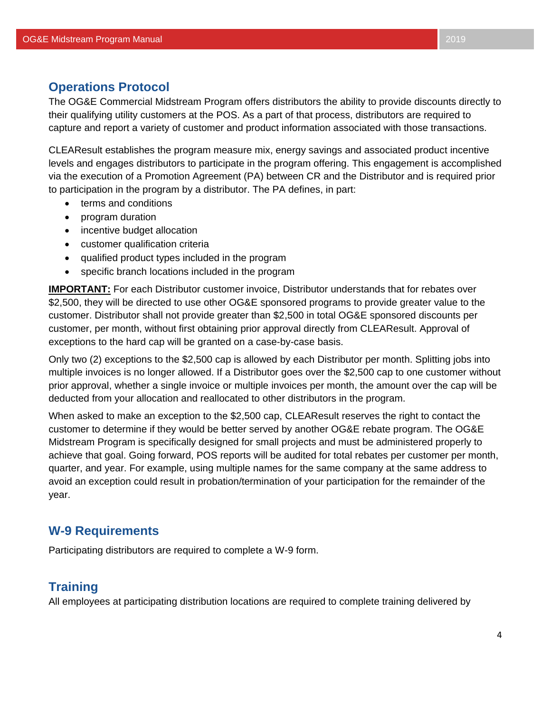# <span id="page-4-0"></span>**Operations Protocol**

The OG&E Commercial Midstream Program offers distributors the ability to provide discounts directly to their qualifying utility customers at the POS. As a part of that process, distributors are required to capture and report a variety of customer and product information associated with those transactions.

CLEAResult establishes the program measure mix, energy savings and associated product incentive levels and engages distributors to participate in the program offering. This engagement is accomplished via the execution of a Promotion Agreement (PA) between CR and the Distributor and is required prior to participation in the program by a distributor. The PA defines, in part:

- terms and conditions
- program duration
- incentive budget allocation
- customer qualification criteria
- qualified product types included in the program
- specific branch locations included in the program

**IMPORTANT:** For each Distributor customer invoice, Distributor understands that for rebates over \$2,500, they will be directed to use other OG&E sponsored programs to provide greater value to the customer. Distributor shall not provide greater than \$2,500 in total OG&E sponsored discounts per customer, per month, without first obtaining prior approval directly from CLEAResult. Approval of exceptions to the hard cap will be granted on a case-by-case basis.

Only two (2) exceptions to the \$2,500 cap is allowed by each Distributor per month. Splitting jobs into multiple invoices is no longer allowed. If a Distributor goes over the \$2,500 cap to one customer without prior approval, whether a single invoice or multiple invoices per month, the amount over the cap will be deducted from your allocation and reallocated to other distributors in the program.

When asked to make an exception to the \$2,500 cap, CLEAResult reserves the right to contact the customer to determine if they would be better served by another OG&E rebate program. The OG&E Midstream Program is specifically designed for small projects and must be administered properly to achieve that goal. Going forward, POS reports will be audited for total rebates per customer per month, quarter, and year. For example, using multiple names for the same company at the same address to avoid an exception could result in probation/termination of your participation for the remainder of the year.

# **W-9 Requirements**

Participating distributors are required to complete a W-9 form.

# **Training**

All employees at participating distribution locations are required to complete training delivered by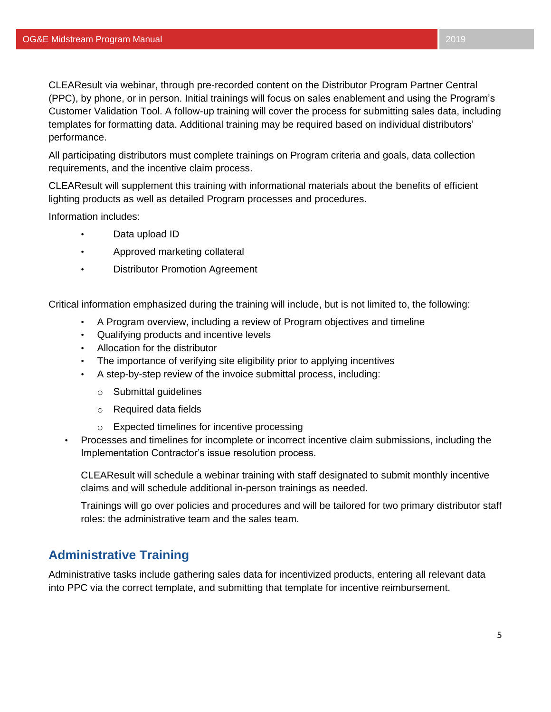CLEAResult via webinar, through pre-recorded content on the Distributor Program Partner Central (PPC), by phone, or in person. Initial trainings will focus on sales enablement and using the Program's Customer Validation Tool. A follow-up training will cover the process for submitting sales data, including templates for formatting data. Additional training may be required based on individual distributors' performance.

All participating distributors must complete trainings on Program criteria and goals, data collection requirements, and the incentive claim process.

CLEAResult will supplement this training with informational materials about the benefits of efficient lighting products as well as detailed Program processes and procedures.

Information includes:

- Data upload ID
- Approved marketing collateral
- Distributor Promotion Agreement

Critical information emphasized during the training will include, but is not limited to, the following:

- A Program overview, including a review of Program objectives and timeline
- Qualifying products and incentive levels
- Allocation for the distributor
- The importance of verifying site eligibility prior to applying incentives
- A step-by-step review of the invoice submittal process, including:
	- o Submittal guidelines
	- o Required data fields
	- o Expected timelines for incentive processing
- Processes and timelines for incomplete or incorrect incentive claim submissions, including the Implementation Contractor's issue resolution process.

CLEAResult will schedule a webinar training with staff designated to submit monthly incentive claims and will schedule additional in-person trainings as needed.

Trainings will go over policies and procedures and will be tailored for two primary distributor staff roles: the administrative team and the sales team.

# **Administrative Training**

Administrative tasks include gathering sales data for incentivized products, entering all relevant data into PPC via the correct template, and submitting that template for incentive reimbursement.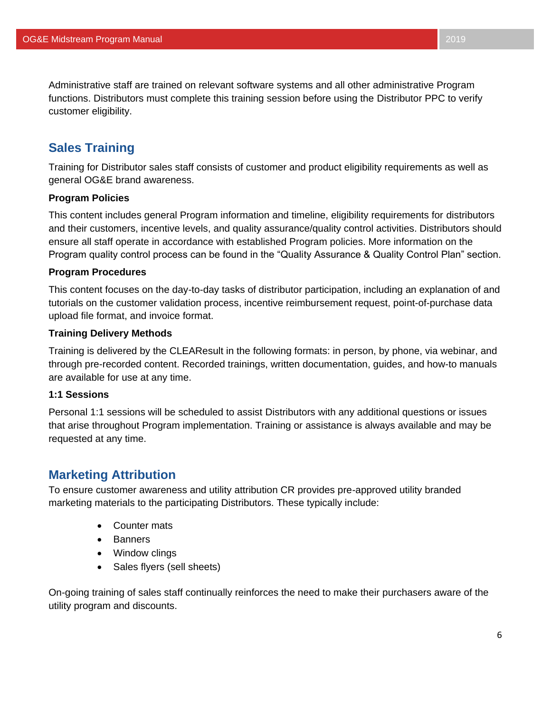Administrative staff are trained on relevant software systems and all other administrative Program functions. Distributors must complete this training session before using the Distributor PPC to verify customer eligibility.

# **Sales Training**

Training for Distributor sales staff consists of customer and product eligibility requirements as well as general OG&E brand awareness.

#### **Program Policies**

This content includes general Program information and timeline, eligibility requirements for distributors and their customers, incentive levels, and quality assurance/quality control activities. Distributors should ensure all staff operate in accordance with established Program policies. More information on the Program quality control process can be found in the "Quality Assurance & Quality Control Plan" section.

#### **Program Procedures**

This content focuses on the day-to-day tasks of distributor participation, including an explanation of and tutorials on the customer validation process, incentive reimbursement request, point-of-purchase data upload file format, and invoice format.

#### **Training Delivery Methods**

Training is delivered by the CLEAResult in the following formats: in person, by phone, via webinar, and through pre-recorded content. Recorded trainings, written documentation, guides, and how-to manuals are available for use at any time.

#### **1:1 Sessions**

Personal 1:1 sessions will be scheduled to assist Distributors with any additional questions or issues that arise throughout Program implementation. Training or assistance is always available and may be requested at any time.

# **Marketing Attribution**

To ensure customer awareness and utility attribution CR provides pre-approved utility branded marketing materials to the participating Distributors. These typically include:

- Counter mats
- Banners
- Window clings
- Sales flyers (sell sheets)

On-going training of sales staff continually reinforces the need to make their purchasers aware of the utility program and discounts.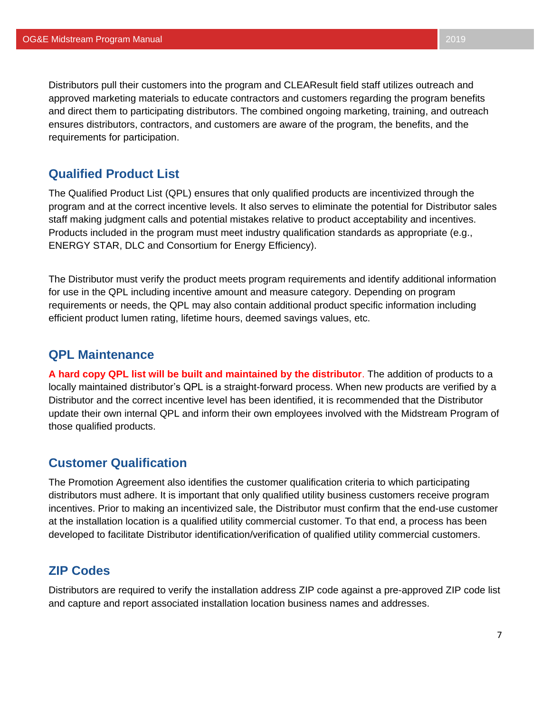Distributors pull their customers into the program and CLEAResult field staff utilizes outreach and approved marketing materials to educate contractors and customers regarding the program benefits and direct them to participating distributors. The combined ongoing marketing, training, and outreach ensures distributors, contractors, and customers are aware of the program, the benefits, and the requirements for participation.

# <span id="page-7-0"></span>**Qualified Product List**

The Qualified Product List (QPL) ensures that only qualified products are incentivized through the program and at the correct incentive levels. It also serves to eliminate the potential for Distributor sales staff making judgment calls and potential mistakes relative to product acceptability and incentives. Products included in the program must meet industry qualification standards as appropriate (e.g., ENERGY STAR, DLC and Consortium for Energy Efficiency).

The Distributor must verify the product meets program requirements and identify additional information for use in the QPL including incentive amount and measure category. Depending on program requirements or needs, the QPL may also contain additional product specific information including efficient product lumen rating, lifetime hours, deemed savings values, etc.

## <span id="page-7-1"></span>**QPL Maintenance**

**A hard copy QPL list will be built and maintained by the distributor**. The addition of products to a locally maintained distributor's QPL is a straight-forward process. When new products are verified by a Distributor and the correct incentive level has been identified, it is recommended that the Distributor update their own internal QPL and inform their own employees involved with the Midstream Program of those qualified products.

# <span id="page-7-2"></span>**Customer Qualification**

The Promotion Agreement also identifies the customer qualification criteria to which participating distributors must adhere. It is important that only qualified utility business customers receive program incentives. Prior to making an incentivized sale, the Distributor must confirm that the end-use customer at the installation location is a qualified utility commercial customer. To that end, a process has been developed to facilitate Distributor identification/verification of qualified utility commercial customers.

# <span id="page-7-3"></span>**ZIP Codes**

Distributors are required to verify the installation address ZIP code against a pre-approved ZIP code list and capture and report associated installation location business names and addresses.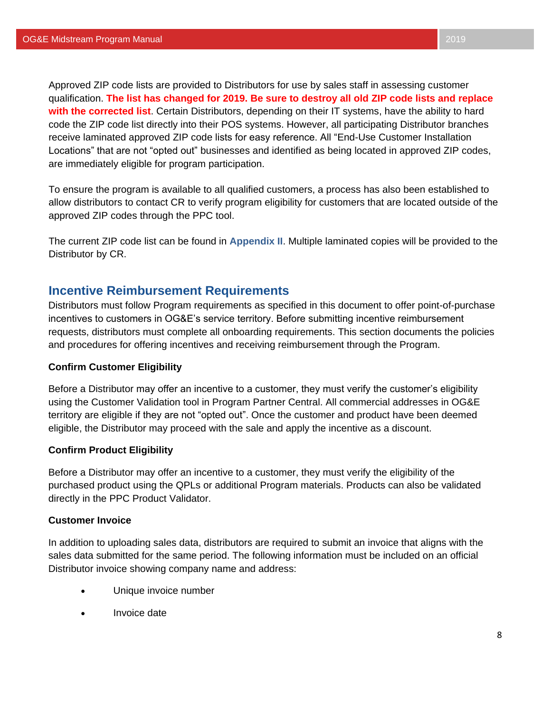Approved ZIP code lists are provided to Distributors for use by sales staff in assessing customer qualification. **The list has changed for 2019. Be sure to destroy all old ZIP code lists and replace with the corrected list**. Certain Distributors, depending on their IT systems, have the ability to hard code the ZIP code list directly into their POS systems. However, all participating Distributor branches receive laminated approved ZIP code lists for easy reference. All "End-Use Customer Installation Locations" that are not "opted out" businesses and identified as being located in approved ZIP codes, are immediately eligible for program participation.

To ensure the program is available to all qualified customers, a process has also been established to allow distributors to contact CR to verify program eligibility for customers that are located outside of the approved ZIP codes through the PPC tool.

The current ZIP code list can be found in **Appendix II**. Multiple laminated copies will be provided to the Distributor by CR.

# **Incentive Reimbursement Requirements**

Distributors must follow Program requirements as specified in this document to offer point-of-purchase incentives to customers in OG&E's service territory. Before submitting incentive reimbursement requests, distributors must complete all onboarding requirements. This section documents the policies and procedures for offering incentives and receiving reimbursement through the Program.

#### **Confirm Customer Eligibility**

Before a Distributor may offer an incentive to a customer, they must verify the customer's eligibility using the Customer Validation tool in Program Partner Central. All commercial addresses in OG&E territory are eligible if they are not "opted out". Once the customer and product have been deemed eligible, the Distributor may proceed with the sale and apply the incentive as a discount.

#### **Confirm Product Eligibility**

Before a Distributor may offer an incentive to a customer, they must verify the eligibility of the purchased product using the QPLs or additional Program materials. Products can also be validated directly in the PPC Product Validator.

#### **Customer Invoice**

In addition to uploading sales data, distributors are required to submit an invoice that aligns with the sales data submitted for the same period. The following information must be included on an official Distributor invoice showing company name and address:

- Unique invoice number
- Invoice date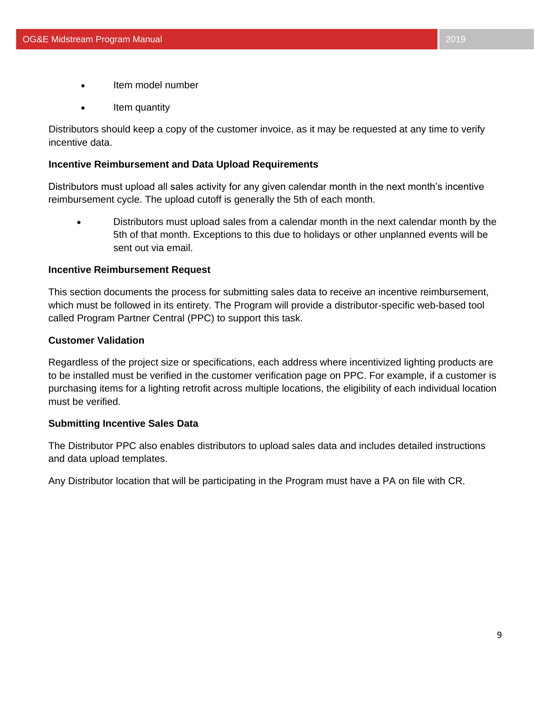- Item model number
- Item quantity

Distributors should keep a copy of the customer invoice, as it may be requested at any time to verify incentive data.

#### **Incentive Reimbursement and Data Upload Requirements**

Distributors must upload all sales activity for any given calendar month in the next month's incentive reimbursement cycle. The upload cutoff is generally the 5th of each month.

• Distributors must upload sales from a calendar month in the next calendar month by the 5th of that month. Exceptions to this due to holidays or other unplanned events will be sent out via email.

#### **Incentive Reimbursement Request**

This section documents the process for submitting sales data to receive an incentive reimbursement, which must be followed in its entirety. The Program will provide a distributor-specific web-based tool called Program Partner Central (PPC) to support this task.

#### **Customer Validation**

Regardless of the project size or specifications, each address where incentivized lighting products are to be installed must be verified in the customer verification page on PPC. For example, if a customer is purchasing items for a lighting retrofit across multiple locations, the eligibility of each individual location must be verified.

#### **Submitting Incentive Sales Data**

The Distributor PPC also enables distributors to upload sales data and includes detailed instructions and data upload templates.

Any Distributor location that will be participating in the Program must have a PA on file with CR.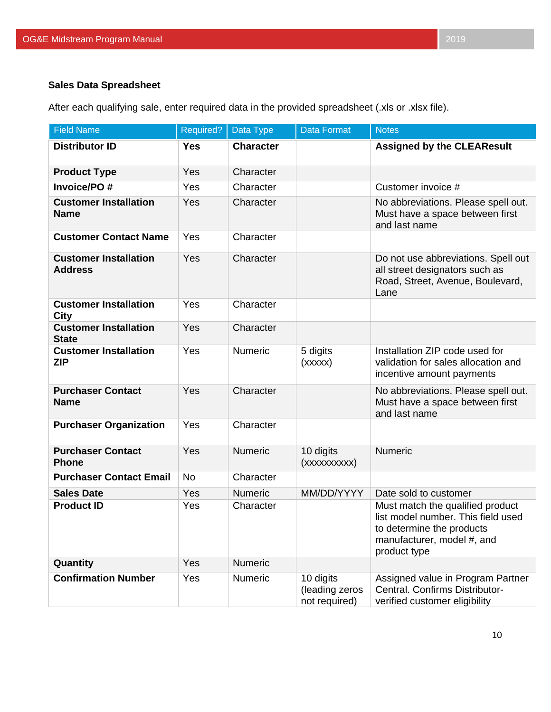After each qualifying sale, enter required data in the provided spreadsheet (.xls or .xlsx file).

| <b>Field Name</b>                              | Required?  | Data Type        | <b>Data Format</b>                           | <b>Notes</b>                                                                                                                                      |
|------------------------------------------------|------------|------------------|----------------------------------------------|---------------------------------------------------------------------------------------------------------------------------------------------------|
| <b>Distributor ID</b>                          | <b>Yes</b> | <b>Character</b> |                                              | <b>Assigned by the CLEAResult</b>                                                                                                                 |
| <b>Product Type</b>                            | Yes        | Character        |                                              |                                                                                                                                                   |
| <b>Invoice/PO#</b>                             | Yes        | Character        |                                              | Customer invoice #                                                                                                                                |
| <b>Customer Installation</b><br><b>Name</b>    | Yes        | Character        |                                              | No abbreviations. Please spell out.<br>Must have a space between first<br>and last name                                                           |
| <b>Customer Contact Name</b>                   | Yes        | Character        |                                              |                                                                                                                                                   |
| <b>Customer Installation</b><br><b>Address</b> | Yes        | Character        |                                              | Do not use abbreviations. Spell out<br>all street designators such as<br>Road, Street, Avenue, Boulevard,<br>Lane                                 |
| <b>Customer Installation</b><br><b>City</b>    | Yes        | Character        |                                              |                                                                                                                                                   |
| <b>Customer Installation</b><br><b>State</b>   | Yes        | Character        |                                              |                                                                                                                                                   |
| <b>Customer Installation</b><br><b>ZIP</b>     | Yes        | Numeric          | 5 digits<br>(xxxxx)                          | Installation ZIP code used for<br>validation for sales allocation and<br>incentive amount payments                                                |
| <b>Purchaser Contact</b><br><b>Name</b>        | Yes        | Character        |                                              | No abbreviations. Please spell out.<br>Must have a space between first<br>and last name                                                           |
| <b>Purchaser Organization</b>                  | Yes        | Character        |                                              |                                                                                                                                                   |
| <b>Purchaser Contact</b><br><b>Phone</b>       | Yes        | <b>Numeric</b>   | 10 digits<br>(xxxxxxxxx)                     | <b>Numeric</b>                                                                                                                                    |
| <b>Purchaser Contact Email</b>                 | <b>No</b>  | Character        |                                              |                                                                                                                                                   |
| <b>Sales Date</b>                              | Yes        | <b>Numeric</b>   | MM/DD/YYYY                                   | Date sold to customer                                                                                                                             |
| <b>Product ID</b>                              | Yes        | Character        |                                              | Must match the qualified product<br>list model number. This field used<br>to determine the products<br>manufacturer, model #, and<br>product type |
| Quantity                                       | Yes        | Numeric          |                                              |                                                                                                                                                   |
| <b>Confirmation Number</b>                     | Yes        | Numeric          | 10 digits<br>(leading zeros<br>not required) | Assigned value in Program Partner<br>Central. Confirms Distributor-<br>verified customer eligibility                                              |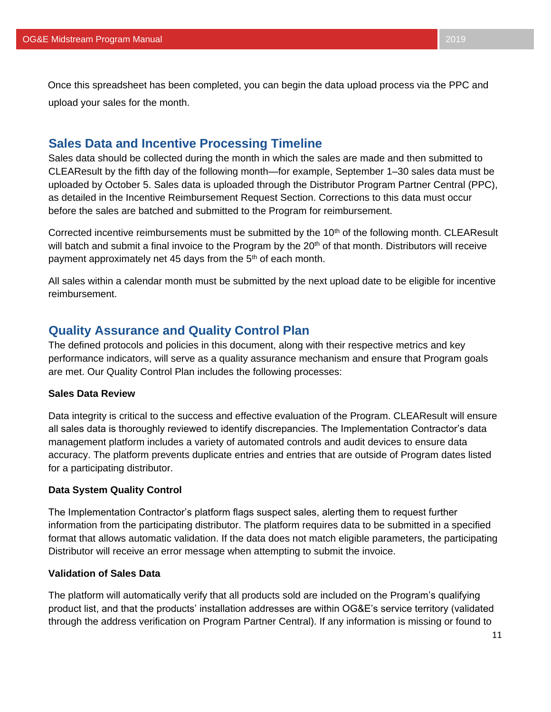Once this spreadsheet has been completed, you can begin the data upload process via the PPC and upload your sales for the month.

# <span id="page-11-0"></span>**Sales Data and Incentive Processing Timeline**

Sales data should be collected during the month in which the sales are made and then submitted to CLEAResult by the fifth day of the following month—for example, September 1–30 sales data must be uploaded by October 5. Sales data is uploaded through the Distributor Program Partner Central (PPC), as detailed in the Incentive Reimbursement Request Section. Corrections to this data must occur before the sales are batched and submitted to the Program for reimbursement.

Corrected incentive reimbursements must be submitted by the 10<sup>th</sup> of the following month. CLEAResult will batch and submit a final invoice to the Program by the 20<sup>th</sup> of that month. Distributors will receive payment approximately net 45 days from the 5<sup>th</sup> of each month.

All sales within a calendar month must be submitted by the next upload date to be eligible for incentive reimbursement.

# **Quality Assurance and Quality Control Plan**

The defined protocols and policies in this document, along with their respective metrics and key performance indicators, will serve as a quality assurance mechanism and ensure that Program goals are met. Our Quality Control Plan includes the following processes:

#### **Sales Data Review**

Data integrity is critical to the success and effective evaluation of the Program. CLEAResult will ensure all sales data is thoroughly reviewed to identify discrepancies. The Implementation Contractor's data management platform includes a variety of automated controls and audit devices to ensure data accuracy. The platform prevents duplicate entries and entries that are outside of Program dates listed for a participating distributor.

#### **Data System Quality Control**

The Implementation Contractor's platform flags suspect sales, alerting them to request further information from the participating distributor. The platform requires data to be submitted in a specified format that allows automatic validation. If the data does not match eligible parameters, the participating Distributor will receive an error message when attempting to submit the invoice.

#### **Validation of Sales Data**

The platform will automatically verify that all products sold are included on the Program's qualifying product list, and that the products' installation addresses are within OG&E's service territory (validated through the address verification on Program Partner Central). If any information is missing or found to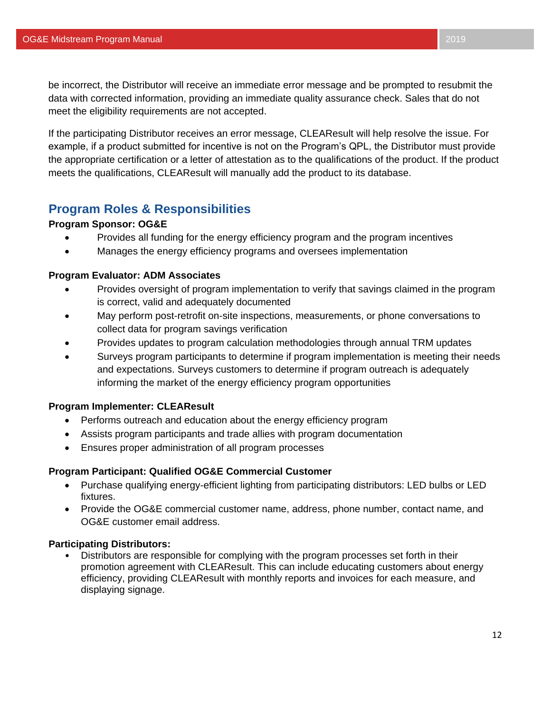be incorrect, the Distributor will receive an immediate error message and be prompted to resubmit the data with corrected information, providing an immediate quality assurance check. Sales that do not meet the eligibility requirements are not accepted.

If the participating Distributor receives an error message, CLEAResult will help resolve the issue. For example, if a product submitted for incentive is not on the Program's QPL, the Distributor must provide the appropriate certification or a letter of attestation as to the qualifications of the product. If the product meets the qualifications, CLEAResult will manually add the product to its database.

## <span id="page-12-0"></span>**Program Roles & Responsibilities**

#### **Program Sponsor: OG&E**

- Provides all funding for the energy efficiency program and the program incentives
- Manages the energy efficiency programs and oversees implementation

#### **Program Evaluator: ADM Associates**

- Provides oversight of program implementation to verify that savings claimed in the program is correct, valid and adequately documented
- May perform post-retrofit on-site inspections, measurements, or phone conversations to collect data for program savings verification
- Provides updates to program calculation methodologies through annual TRM updates
- Surveys program participants to determine if program implementation is meeting their needs and expectations. Surveys customers to determine if program outreach is adequately informing the market of the energy efficiency program opportunities

#### **Program Implementer: CLEAResult**

- Performs outreach and education about the energy efficiency program
- Assists program participants and trade allies with program documentation
- Ensures proper administration of all program processes

#### **Program Participant: Qualified OG&E Commercial Customer**

- Purchase qualifying energy-efficient lighting from participating distributors: LED bulbs or LED fixtures.
- Provide the OG&E commercial customer name, address, phone number, contact name, and OG&E customer email address.

#### **Participating Distributors:**

• Distributors are responsible for complying with the program processes set forth in their promotion agreement with CLEAResult. This can include educating customers about energy efficiency, providing CLEAResult with monthly reports and invoices for each measure, and displaying signage.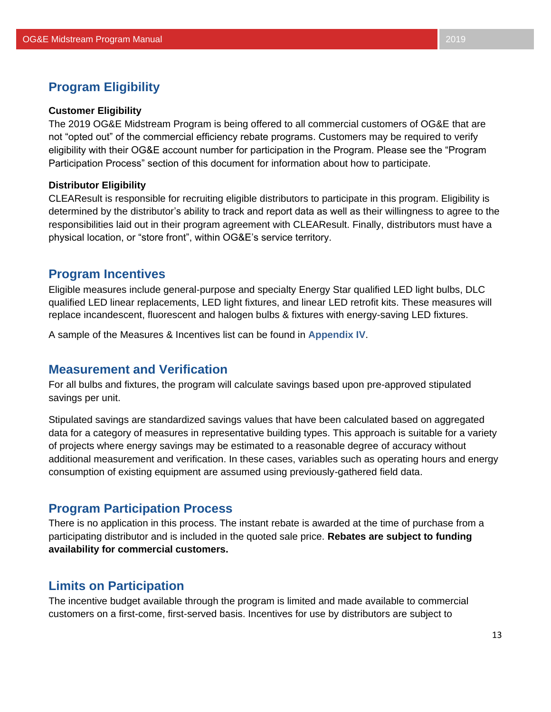# <span id="page-13-2"></span>**Program Eligibility**

#### <span id="page-13-0"></span>**Customer Eligibility**

The 2019 OG&E Midstream Program is being offered to all commercial customers of OG&E that are not "opted out" of the commercial efficiency rebate programs. Customers may be required to verify eligibility with their OG&E account number for participation in the Program. Please see the "Program Participation Process" section of this document for information about how to participate.

#### <span id="page-13-1"></span>**Distributor Eligibility**

CLEAResult is responsible for recruiting eligible distributors to participate in this program. Eligibility is determined by the distributor's ability to track and report data as well as their willingness to agree to the responsibilities laid out in their program agreement with CLEAResult. Finally, distributors must have a physical location, or "store front", within OG&E's service territory.

## **Program Incentives**

Eligible measures include general-purpose and specialty Energy Star qualified LED light bulbs, DLC qualified LED linear replacements, LED light fixtures, and linear LED retrofit kits. These measures will replace incandescent, fluorescent and halogen bulbs & fixtures with energy-saving LED fixtures.

A sample of the Measures & Incentives list can be found in **Appendix IV**.

# **Measurement and Verification**

For all bulbs and fixtures, the program will calculate savings based upon pre-approved stipulated savings per unit.

Stipulated savings are standardized savings values that have been calculated based on aggregated data for a category of measures in representative building types. This approach is suitable for a variety of projects where energy savings may be estimated to a reasonable degree of accuracy without additional measurement and verification. In these cases, variables such as operating hours and energy consumption of existing equipment are assumed using previously-gathered field data.

## **Program Participation Process**

There is no application in this process. The instant rebate is awarded at the time of purchase from a participating distributor and is included in the quoted sale price. **Rebates are subject to funding availability for commercial customers.**

# <span id="page-13-3"></span>**Limits on Participation**

The incentive budget available through the program is limited and made available to commercial customers on a first-come, first-served basis. Incentives for use by distributors are subject to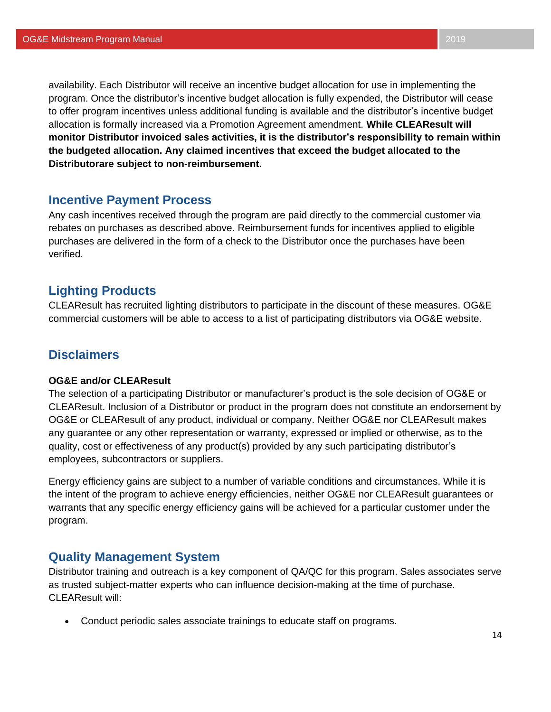availability. Each Distributor will receive an incentive budget allocation for use in implementing the program. Once the distributor's incentive budget allocation is fully expended, the Distributor will cease to offer program incentives unless additional funding is available and the distributor's incentive budget allocation is formally increased via a Promotion Agreement amendment. **While CLEAResult will monitor Distributor invoiced sales activities, it is the distributor's responsibility to remain within the budgeted allocation. Any claimed incentives that exceed the budget allocated to the Distributorare subject to non-reimbursement.**

## <span id="page-14-0"></span>**Incentive Payment Process**

Any cash incentives received through the program are paid directly to the commercial customer via rebates on purchases as described above. Reimbursement funds for incentives applied to eligible purchases are delivered in the form of a check to the Distributor once the purchases have been verified.

## <span id="page-14-1"></span>**Lighting Products**

CLEAResult has recruited lighting distributors to participate in the discount of these measures. OG&E commercial customers will be able to access to a list of participating distributors via OG&E website.

# **Disclaimers**

#### <span id="page-14-2"></span>**OG&E and/or CLEAResult**

The selection of a participating Distributor or manufacturer's product is the sole decision of OG&E or CLEAResult. Inclusion of a Distributor or product in the program does not constitute an endorsement by OG&E or CLEAResult of any product, individual or company. Neither OG&E nor CLEAResult makes any guarantee or any other representation or warranty, expressed or implied or otherwise, as to the quality, cost or effectiveness of any product(s) provided by any such participating distributor's employees, subcontractors or suppliers.

Energy efficiency gains are subject to a number of variable conditions and circumstances. While it is the intent of the program to achieve energy efficiencies, neither OG&E nor CLEAResult guarantees or warrants that any specific energy efficiency gains will be achieved for a particular customer under the program.

#### **Quality Management System**

Distributor training and outreach is a key component of QA/QC for this program. Sales associates serve as trusted subject-matter experts who can influence decision-making at the time of purchase. CLEAResult will:

• Conduct periodic sales associate trainings to educate staff on programs.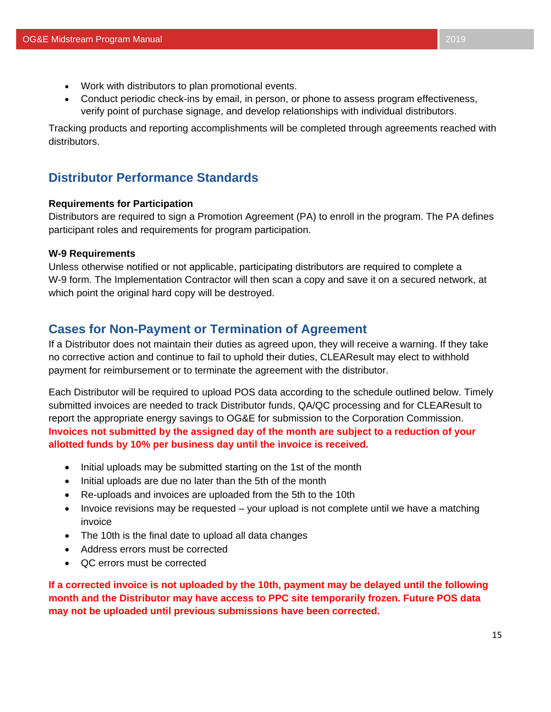- Work with distributors to plan promotional events.
- Conduct periodic check-ins by email, in person, or phone to assess program effectiveness, verify point of purchase signage, and develop relationships with individual distributors.

Tracking products and reporting accomplishments will be completed through agreements reached with distributors.

# **Distributor Performance Standards**

#### **Requirements for Participation**

Distributors are required to sign a Promotion Agreement (PA) to enroll in the program. The PA defines participant roles and requirements for program participation.

#### **W-9 Requirements**

Unless otherwise notified or not applicable, participating distributors are required to complete a W-9 form. The Implementation Contractor will then scan a copy and save it on a secured network, at which point the original hard copy will be destroyed.

# **Cases for Non-Payment or Termination of Agreement**

If a Distributor does not maintain their duties as agreed upon, they will receive a warning. If they take no corrective action and continue to fail to uphold their duties, CLEAResult may elect to withhold payment for reimbursement or to terminate the agreement with the distributor.

Each Distributor will be required to upload POS data according to the schedule outlined below. Timely submitted invoices are needed to track Distributor funds, QA/QC processing and for CLEAResult to report the appropriate energy savings to OG&E for submission to the Corporation Commission. **Invoices not submitted by the assigned day of the month are subject to a reduction of your allotted funds by 10% per business day until the invoice is received.**

- Initial uploads may be submitted starting on the 1st of the month
- Initial uploads are due no later than the 5th of the month
- Re-uploads and invoices are uploaded from the 5th to the 10th
- Invoice revisions may be requested your upload is not complete until we have a matching invoice
- The 10th is the final date to upload all data changes
- Address errors must be corrected
- QC errors must be corrected

**If a corrected invoice is not uploaded by the 10th, payment may be delayed until the following month and the Distributor may have access to PPC site temporarily frozen. Future POS data may not be uploaded until previous submissions have been corrected.**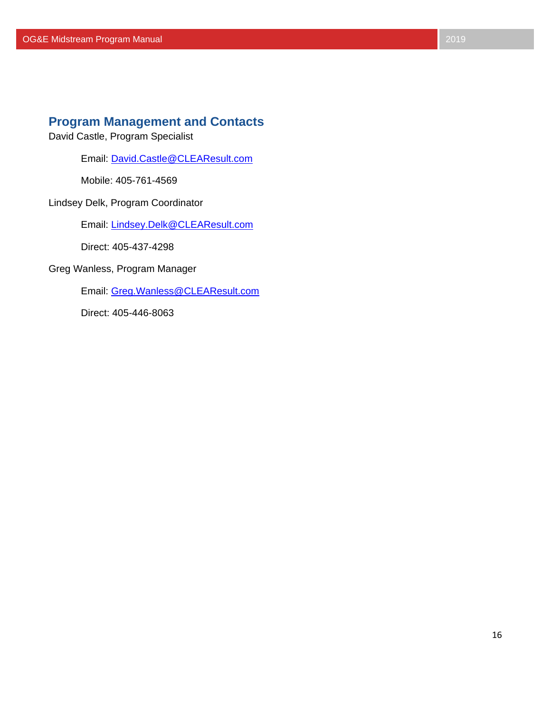# **Program Management and Contacts**

David Castle, Program Specialist

Email: [David.Castle@CLEAResult.com](mailto:David.Castle@CLEAResult.com)

Mobile: 405-761-4569

Lindsey Delk, Program Coordinator

Email: [Lindsey.Delk@CLEAResult.com](mailto:Lindsey.Delk@CLEAResult.com)

Direct: 405-437-4298

Greg Wanless, Program Manager

Email: [Greg.Wanless@CLEAResult.com](mailto:Greg.Wanless@CLEAResult.com)

<span id="page-16-0"></span>Direct: 405-446-8063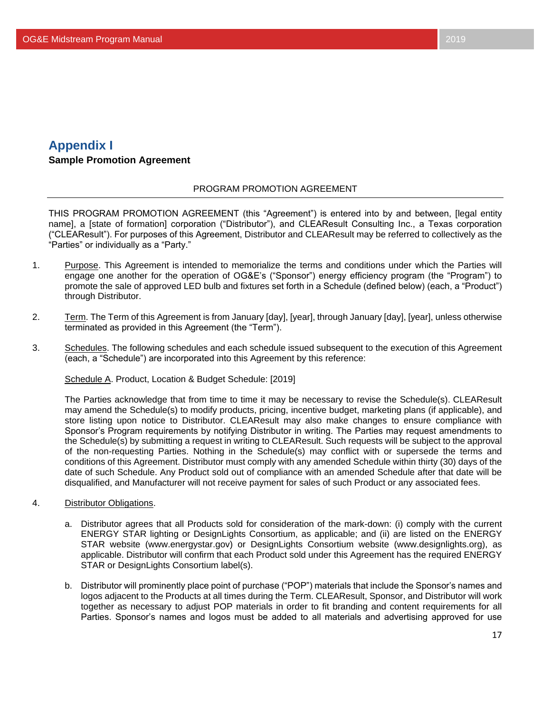# <span id="page-17-0"></span>**Appendix I**

## **Sample Promotion Agreement**

#### PROGRAM PROMOTION AGREEMENT

THIS PROGRAM PROMOTION AGREEMENT (this "Agreement") is entered into by and between, [legal entity name], a [state of formation] corporation ("Distributor"), and CLEAResult Consulting Inc., a Texas corporation ("CLEAResult"). For purposes of this Agreement, Distributor and CLEAResult may be referred to collectively as the "Parties" or individually as a "Party."

- 1. Purpose. This Agreement is intended to memorialize the terms and conditions under which the Parties will engage one another for the operation of OG&E's ("Sponsor") energy efficiency program (the "Program") to promote the sale of approved LED bulb and fixtures set forth in a Schedule (defined below) (each, a "Product") through Distributor.
- 2. Term. The Term of this Agreement is from January [day], [year], through January [day], [year], unless otherwise terminated as provided in this Agreement (the "Term").
- 3. Schedules. The following schedules and each schedule issued subsequent to the execution of this Agreement (each, a "Schedule") are incorporated into this Agreement by this reference:

#### Schedule A. Product, Location & Budget Schedule: [2019]

The Parties acknowledge that from time to time it may be necessary to revise the Schedule(s). CLEAResult may amend the Schedule(s) to modify products, pricing, incentive budget, marketing plans (if applicable), and store listing upon notice to Distributor. CLEAResult may also make changes to ensure compliance with Sponsor's Program requirements by notifying Distributor in writing. The Parties may request amendments to the Schedule(s) by submitting a request in writing to CLEAResult. Such requests will be subject to the approval of the non-requesting Parties. Nothing in the Schedule(s) may conflict with or supersede the terms and conditions of this Agreement. Distributor must comply with any amended Schedule within thirty (30) days of the date of such Schedule. Any Product sold out of compliance with an amended Schedule after that date will be disqualified, and Manufacturer will not receive payment for sales of such Product or any associated fees.

- 4. Distributor Obligations.
	- a. Distributor agrees that all Products sold for consideration of the mark-down: (i) comply with the current ENERGY STAR lighting or DesignLights Consortium, as applicable; and (ii) are listed on the ENERGY STAR website (www.energystar.gov) or DesignLights Consortium website (www.designlights.org), as applicable. Distributor will confirm that each Product sold under this Agreement has the required ENERGY STAR or DesignLights Consortium label(s).
	- b. Distributor will prominently place point of purchase ("POP") materials that include the Sponsor's names and logos adjacent to the Products at all times during the Term. CLEAResult, Sponsor, and Distributor will work together as necessary to adjust POP materials in order to fit branding and content requirements for all Parties. Sponsor's names and logos must be added to all materials and advertising approved for use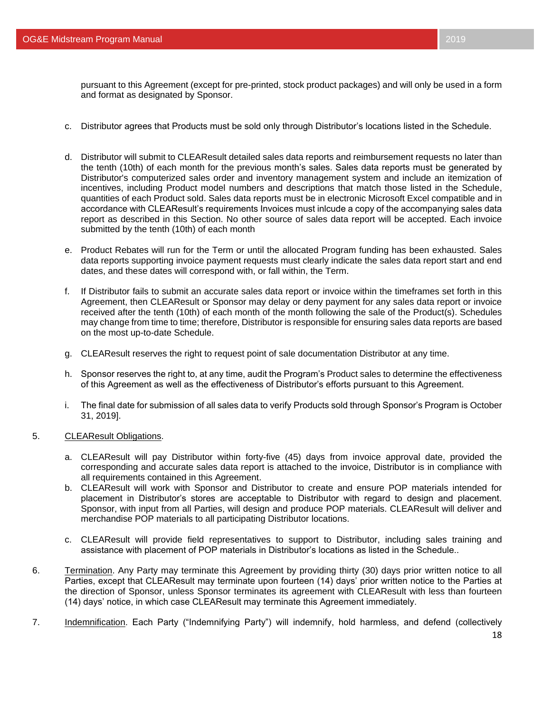pursuant to this Agreement (except for pre-printed, stock product packages) and will only be used in a form and format as designated by Sponsor.

- c. Distributor agrees that Products must be sold only through Distributor's locations listed in the Schedule.
- d. Distributor will submit to CLEAResult detailed sales data reports and reimbursement requests no later than the tenth (10th) of each month for the previous month's sales. Sales data reports must be generated by Distributor's computerized sales order and inventory management system and include an itemization of incentives, including Product model numbers and descriptions that match those listed in the Schedule, quantities of each Product sold. Sales data reports must be in electronic Microsoft Excel compatible and in accordance with CLEAResult's requirements Invoices must inlcude a copy of the accompanying sales data report as described in this Section. No other source of sales data report will be accepted. Each invoice submitted by the tenth (10th) of each month
- e. Product Rebates will run for the Term or until the allocated Program funding has been exhausted. Sales data reports supporting invoice payment requests must clearly indicate the sales data report start and end dates, and these dates will correspond with, or fall within, the Term.
- f. If Distributor fails to submit an accurate sales data report or invoice within the timeframes set forth in this Agreement, then CLEAResult or Sponsor may delay or deny payment for any sales data report or invoice received after the tenth (10th) of each month of the month following the sale of the Product(s). Schedules may change from time to time; therefore, Distributor is responsible for ensuring sales data reports are based on the most up-to-date Schedule.
- g. CLEAResult reserves the right to request point of sale documentation Distributor at any time.
- h. Sponsor reserves the right to, at any time, audit the Program's Product sales to determine the effectiveness of this Agreement as well as the effectiveness of Distributor's efforts pursuant to this Agreement.
- i. The final date for submission of all sales data to verify Products sold through Sponsor's Program is October 31, 2019].
- 5. CLEAResult Obligations.
	- a. CLEAResult will pay Distributor within forty-five (45) days from invoice approval date, provided the corresponding and accurate sales data report is attached to the invoice, Distributor is in compliance with all requirements contained in this Agreement.
	- b. CLEAResult will work with Sponsor and Distributor to create and ensure POP materials intended for placement in Distributor's stores are acceptable to Distributor with regard to design and placement. Sponsor, with input from all Parties, will design and produce POP materials. CLEAResult will deliver and merchandise POP materials to all participating Distributor locations.
	- c. CLEAResult will provide field representatives to support to Distributor, including sales training and assistance with placement of POP materials in Distributor's locations as listed in the Schedule..
- 6. Termination. Any Party may terminate this Agreement by providing thirty (30) days prior written notice to all Parties, except that CLEAResult may terminate upon fourteen (14) days' prior written notice to the Parties at the direction of Sponsor, unless Sponsor terminates its agreement with CLEAResult with less than fourteen (14) days' notice, in which case CLEAResult may terminate this Agreement immediately.
- 7. Indemnification. Each Party ("Indemnifying Party") will indemnify, hold harmless, and defend (collectively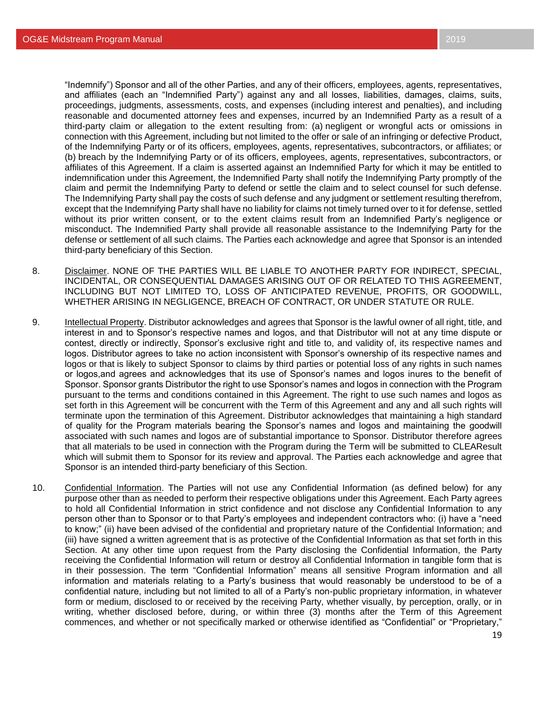"Indemnify") Sponsor and all of the other Parties, and any of their officers, employees, agents, representatives, and affiliates (each an "Indemnified Party") against any and all losses, liabilities, damages, claims, suits, proceedings, judgments, assessments, costs, and expenses (including interest and penalties), and including reasonable and documented attorney fees and expenses, incurred by an Indemnified Party as a result of a third-party claim or allegation to the extent resulting from: (a) negligent or wrongful acts or omissions in connection with this Agreement, including but not limited to the offer or sale of an infringing or defective Product, of the Indemnifying Party or of its officers, employees, agents, representatives, subcontractors, or affiliates; or (b) breach by the Indemnifying Party or of its officers, employees, agents, representatives, subcontractors, or affiliates of this Agreement. If a claim is asserted against an Indemnified Party for which it may be entitled to indemnification under this Agreement, the Indemnified Party shall notify the Indemnifying Party promptly of the claim and permit the Indemnifying Party to defend or settle the claim and to select counsel for such defense. The Indemnifying Party shall pay the costs of such defense and any judgment or settlement resulting therefrom, except that the Indemnifying Party shall have no liability for claims not timely turned over to it for defense, settled without its prior written consent, or to the extent claims result from an Indemnified Party's negligence or misconduct. The Indemnified Party shall provide all reasonable assistance to the Indemnifying Party for the defense or settlement of all such claims. The Parties each acknowledge and agree that Sponsor is an intended third-party beneficiary of this Section.

- 8. Disclaimer. NONE OF THE PARTIES WILL BE LIABLE TO ANOTHER PARTY FOR INDIRECT, SPECIAL, INCIDENTAL, OR CONSEQUENTIAL DAMAGES ARISING OUT OF OR RELATED TO THIS AGREEMENT, INCLUDING BUT NOT LIMITED TO, LOSS OF ANTICIPATED REVENUE, PROFITS, OR GOODWILL, WHETHER ARISING IN NEGLIGENCE, BREACH OF CONTRACT, OR UNDER STATUTE OR RULE.
- 9. Intellectual Property. Distributor acknowledges and agrees that Sponsor is the lawful owner of all right, title, and interest in and to Sponsor's respective names and logos, and that Distributor will not at any time dispute or contest, directly or indirectly, Sponsor's exclusive right and title to, and validity of, its respective names and logos. Distributor agrees to take no action inconsistent with Sponsor's ownership of its respective names and logos or that is likely to subject Sponsor to claims by third parties or potential loss of any rights in such names or logos,and agrees and acknowledges that its use of Sponsor's names and logos inures to the benefit of Sponsor. Sponsor grants Distributor the right to use Sponsor's names and logos in connection with the Program pursuant to the terms and conditions contained in this Agreement. The right to use such names and logos as set forth in this Agreement will be concurrent with the Term of this Agreement and any and all such rights will terminate upon the termination of this Agreement. Distributor acknowledges that maintaining a high standard of quality for the Program materials bearing the Sponsor's names and logos and maintaining the goodwill associated with such names and logos are of substantial importance to Sponsor. Distributor therefore agrees that all materials to be used in connection with the Program during the Term will be submitted to CLEAResult which will submit them to Sponsor for its review and approval. The Parties each acknowledge and agree that Sponsor is an intended third-party beneficiary of this Section.
- 10. Confidential Information. The Parties will not use any Confidential Information (as defined below) for any purpose other than as needed to perform their respective obligations under this Agreement. Each Party agrees to hold all Confidential Information in strict confidence and not disclose any Confidential Information to any person other than to Sponsor or to that Party's employees and independent contractors who: (i) have a "need to know;" (ii) have been advised of the confidential and proprietary nature of the Confidential Information; and (iii) have signed a written agreement that is as protective of the Confidential Information as that set forth in this Section. At any other time upon request from the Party disclosing the Confidential Information, the Party receiving the Confidential Information will return or destroy all Confidential Information in tangible form that is in their possession. The term "Confidential Information" means all sensitive Program information and all information and materials relating to a Party's business that would reasonably be understood to be of a confidential nature, including but not limited to all of a Party's non-public proprietary information, in whatever form or medium, disclosed to or received by the receiving Party, whether visually, by perception, orally, or in writing, whether disclosed before, during, or within three (3) months after the Term of this Agreement commences, and whether or not specifically marked or otherwise identified as "Confidential" or "Proprietary,"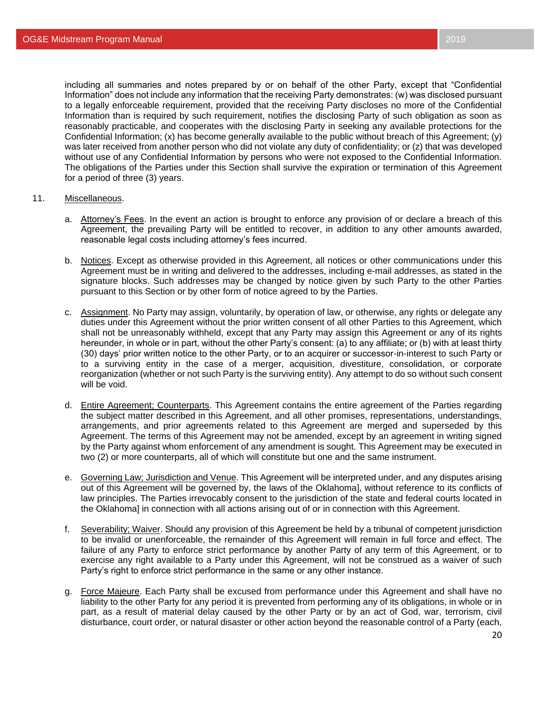including all summaries and notes prepared by or on behalf of the other Party, except that "Confidential Information" does not include any information that the receiving Party demonstrates: (w) was disclosed pursuant to a legally enforceable requirement, provided that the receiving Party discloses no more of the Confidential Information than is required by such requirement, notifies the disclosing Party of such obligation as soon as reasonably practicable, and cooperates with the disclosing Party in seeking any available protections for the Confidential Information; (x) has become generally available to the public without breach of this Agreement; (y) was later received from another person who did not violate any duty of confidentiality; or (z) that was developed without use of any Confidential Information by persons who were not exposed to the Confidential Information. The obligations of the Parties under this Section shall survive the expiration or termination of this Agreement for a period of three (3) years.

- 11. Miscellaneous.
	- a. Attorney's Fees. In the event an action is brought to enforce any provision of or declare a breach of this Agreement, the prevailing Party will be entitled to recover, in addition to any other amounts awarded, reasonable legal costs including attorney's fees incurred.
	- b. Notices. Except as otherwise provided in this Agreement, all notices or other communications under this Agreement must be in writing and delivered to the addresses, including e-mail addresses, as stated in the signature blocks. Such addresses may be changed by notice given by such Party to the other Parties pursuant to this Section or by other form of notice agreed to by the Parties.
	- c. Assignment. No Party may assign, voluntarily, by operation of law, or otherwise, any rights or delegate any duties under this Agreement without the prior written consent of all other Parties to this Agreement, which shall not be unreasonably withheld, except that any Party may assign this Agreement or any of its rights hereunder, in whole or in part, without the other Party's consent: (a) to any affiliate; or (b) with at least thirty (30) days' prior written notice to the other Party, or to an acquirer or successor-in-interest to such Party or to a surviving entity in the case of a merger, acquisition, divestiture, consolidation, or corporate reorganization (whether or not such Party is the surviving entity). Any attempt to do so without such consent will be void.
	- d. Entire Agreement; Counterparts. This Agreement contains the entire agreement of the Parties regarding the subject matter described in this Agreement, and all other promises, representations, understandings, arrangements, and prior agreements related to this Agreement are merged and superseded by this Agreement. The terms of this Agreement may not be amended, except by an agreement in writing signed by the Party against whom enforcement of any amendment is sought. This Agreement may be executed in two (2) or more counterparts, all of which will constitute but one and the same instrument.
	- e. Governing Law; Jurisdiction and Venue. This Agreement will be interpreted under, and any disputes arising out of this Agreement will be governed by, the laws of the Oklahoma], without reference to its conflicts of law principles. The Parties irrevocably consent to the jurisdiction of the state and federal courts located in the Oklahoma] in connection with all actions arising out of or in connection with this Agreement.
	- f. Severability; Waiver. Should any provision of this Agreement be held by a tribunal of competent jurisdiction to be invalid or unenforceable, the remainder of this Agreement will remain in full force and effect. The failure of any Party to enforce strict performance by another Party of any term of this Agreement, or to exercise any right available to a Party under this Agreement, will not be construed as a waiver of such Party's right to enforce strict performance in the same or any other instance.
	- g. Force Majeure. Each Party shall be excused from performance under this Agreement and shall have no liability to the other Party for any period it is prevented from performing any of its obligations, in whole or in part, as a result of material delay caused by the other Party or by an act of God, war, terrorism, civil disturbance, court order, or natural disaster or other action beyond the reasonable control of a Party (each,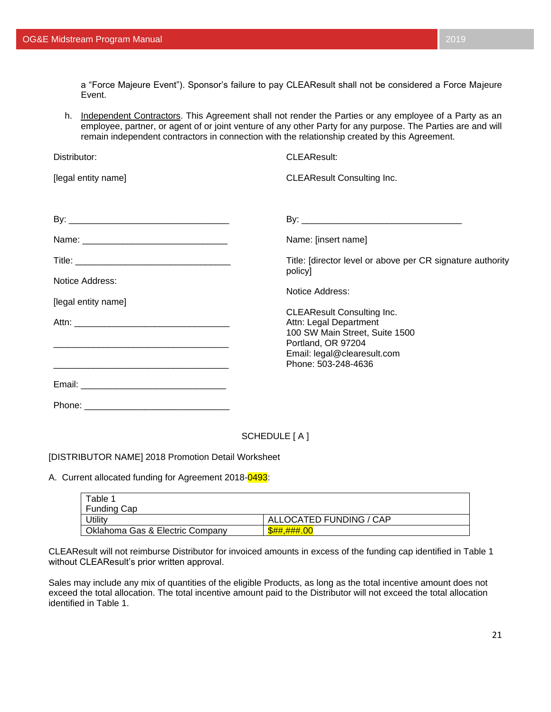a "Force Majeure Event"). Sponsor's failure to pay CLEAResult shall not be considered a Force Majeure Event.

h. Independent Contractors. This Agreement shall not render the Parties or any employee of a Party as an employee, partner, or agent of or joint venture of any other Party for any purpose. The Parties are and will remain independent contractors in connection with the relationship created by this Agreement.

| Distributor:        | <b>CLEAResult:</b>                                                                                                                                                        |
|---------------------|---------------------------------------------------------------------------------------------------------------------------------------------------------------------------|
| [legal entity name] | <b>CLEAResult Consulting Inc.</b>                                                                                                                                         |
|                     |                                                                                                                                                                           |
|                     | Name: [insert name]                                                                                                                                                       |
|                     | Title: [director level or above per CR signature authority<br>policy]                                                                                                     |
| Notice Address:     | Notice Address:                                                                                                                                                           |
| [legal entity name] |                                                                                                                                                                           |
|                     | <b>CLEAResult Consulting Inc.</b><br>Attn: Legal Department<br>100 SW Main Street, Suite 1500<br>Portland, OR 97204<br>Email: legal@clearesult.com<br>Phone: 503-248-4636 |
|                     |                                                                                                                                                                           |
|                     |                                                                                                                                                                           |
|                     |                                                                                                                                                                           |

SCHEDULE [ A ]

#### [DISTRIBUTOR NAME] 2018 Promotion Detail Worksheet

A. Current allocated funding for Agreement 2018-0493:

| Table 1<br><b>Funding Cap</b>   |                         |
|---------------------------------|-------------------------|
| Jtilitv                         | ALLOCATED FUNDING / CAP |
| Oklahoma Gas & Electric Company | <b>\$##.###.00</b>      |

CLEAResult will not reimburse Distributor for invoiced amounts in excess of the funding cap identified in Table 1 without CLEAResult's prior written approval.

Sales may include any mix of quantities of the eligible Products, as long as the total incentive amount does not exceed the total allocation. The total incentive amount paid to the Distributor will not exceed the total allocation identified in Table 1.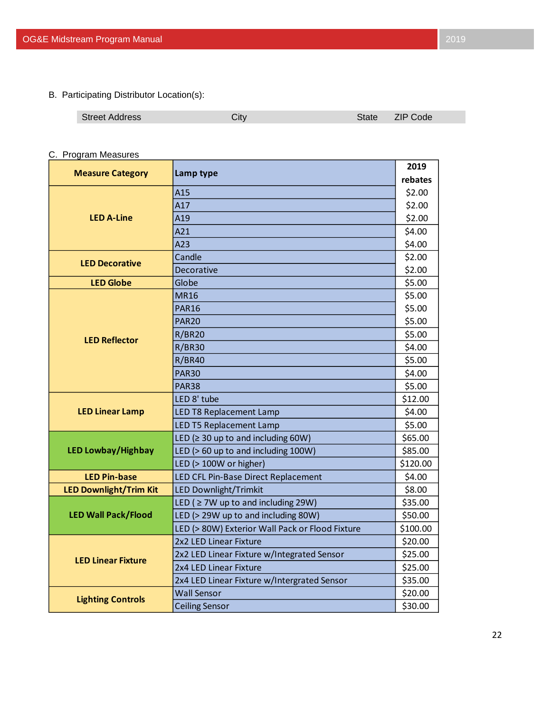B. Participating Distributor Location(s):

| <b>Street Address</b> | Code<br>ZIP.<br>state |
|-----------------------|-----------------------|
|                       |                       |

# C. Program Measures

| <b>Measure Category</b>       | Lamp type                                       | 2019     |
|-------------------------------|-------------------------------------------------|----------|
|                               |                                                 | rebates  |
|                               | A15                                             | \$2.00   |
|                               | A17                                             | \$2.00   |
| <b>LED A-Line</b>             | A19                                             | \$2.00   |
|                               | A21                                             | \$4.00   |
|                               | A23                                             | \$4.00   |
| <b>LED Decorative</b>         | Candle                                          | \$2.00   |
|                               | Decorative                                      | \$2.00   |
| <b>LED Globe</b>              | Globe                                           | \$5.00   |
|                               | <b>MR16</b>                                     | \$5.00   |
|                               | <b>PAR16</b>                                    | \$5.00   |
|                               | <b>PAR20</b>                                    | \$5.00   |
| <b>LED Reflector</b>          | <b>R/BR20</b>                                   | \$5.00   |
|                               | <b>R/BR30</b>                                   | \$4.00   |
|                               | <b>R/BR40</b>                                   | \$5.00   |
|                               | <b>PAR30</b>                                    | \$4.00   |
|                               | <b>PAR38</b>                                    | \$5.00   |
|                               | LED 8' tube                                     | \$12.00  |
| <b>LED Linear Lamp</b>        | <b>LED T8 Replacement Lamp</b>                  | \$4.00   |
|                               | <b>LED T5 Replacement Lamp</b>                  | \$5.00   |
|                               | LED ( $\geq$ 30 up to and including 60W)        | \$65.00  |
| <b>LED Lowbay/Highbay</b>     | LED (> 60 up to and including 100W)             | \$85.00  |
|                               | LED (> 100W or higher)                          | \$120.00 |
| <b>LED Pin-base</b>           | LED CFL Pin-Base Direct Replacement             | \$4.00   |
| <b>LED Downlight/Trim Kit</b> | <b>LED Downlight/Trimkit</b>                    | \$8.00   |
|                               | LED ( $\geq$ 7W up to and including 29W)        | \$35.00  |
| <b>LED Wall Pack/Flood</b>    | LED (> 29W up to and including 80W)             | \$50.00  |
|                               | LED (> 80W) Exterior Wall Pack or Flood Fixture | \$100.00 |
|                               | 2x2 LED Linear Fixture                          | \$20.00  |
| <b>LED Linear Fixture</b>     | 2x2 LED Linear Fixture w/Integrated Sensor      | \$25.00  |
|                               | 2x4 LED Linear Fixture                          | \$25.00  |
|                               | 2x4 LED Linear Fixture w/Intergrated Sensor     | \$35.00  |
|                               | <b>Wall Sensor</b>                              | \$20.00  |
| <b>Lighting Controls</b>      | <b>Ceiling Sensor</b>                           | \$30.00  |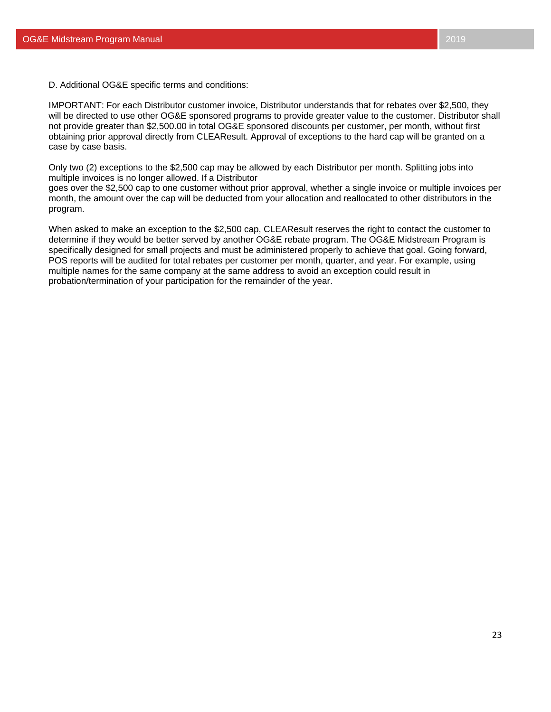D. Additional OG&E specific terms and conditions:

IMPORTANT: For each Distributor customer invoice, Distributor understands that for rebates over \$2,500, they will be directed to use other OG&E sponsored programs to provide greater value to the customer. Distributor shall not provide greater than \$2,500.00 in total OG&E sponsored discounts per customer, per month, without first obtaining prior approval directly from CLEAResult. Approval of exceptions to the hard cap will be granted on a case by case basis.

Only two (2) exceptions to the \$2,500 cap may be allowed by each Distributor per month. Splitting jobs into multiple invoices is no longer allowed. If a Distributor

goes over the \$2,500 cap to one customer without prior approval, whether a single invoice or multiple invoices per month, the amount over the cap will be deducted from your allocation and reallocated to other distributors in the program.

When asked to make an exception to the \$2,500 cap, CLEAResult reserves the right to contact the customer to determine if they would be better served by another OG&E rebate program. The OG&E Midstream Program is specifically designed for small projects and must be administered properly to achieve that goal. Going forward, POS reports will be audited for total rebates per customer per month, quarter, and year. For example, using multiple names for the same company at the same address to avoid an exception could result in probation/termination of your participation for the remainder of the year.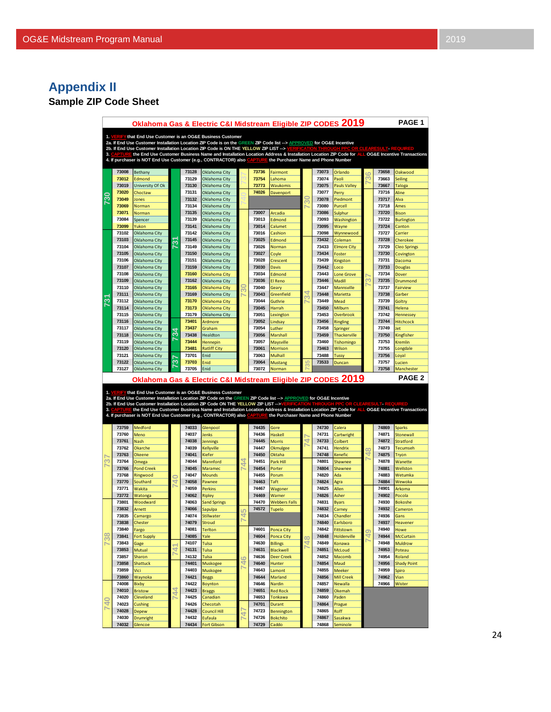# **Appendix II**

# **Sample ZIP Code Sheet**

| Oklahoma Gas & Electric C&I Midstream_Eligible ZIP CODES 2019<br>PAGE <sub>1</sub> |                |                                                                                                                                                                                                                                                                                              |               |                |                                       |    |                |                                     |               |                |                             |                |                         |                                   |
|------------------------------------------------------------------------------------|----------------|----------------------------------------------------------------------------------------------------------------------------------------------------------------------------------------------------------------------------------------------------------------------------------------------|---------------|----------------|---------------------------------------|----|----------------|-------------------------------------|---------------|----------------|-----------------------------|----------------|-------------------------|-----------------------------------|
|                                                                                    |                | 1. VERIFY that End Use Customer is an OG&E Business Customer                                                                                                                                                                                                                                 |               |                |                                       |    |                |                                     |               |                |                             |                |                         |                                   |
|                                                                                    |                | 2a. If End Use Customer Installation Location ZIP Code is on the GREEN ZIP Code list --> APPROVED for OG&E Incentive                                                                                                                                                                         |               |                |                                       |    |                |                                     |               |                |                             |                |                         |                                   |
|                                                                                    |                | 2b. If End Use Customer Installation Location ZIP Code is ON THE YELLOW ZIP LIST --> VERIFICATION THROUGH PPC OR CLEARESULT REQUIRED<br>3. CAPTURE the End Use Customer Business Name and Installation Location Address & Installation Location ZIP Code for ALL OG&E Incentive Transactions |               |                |                                       |    |                |                                     |               |                |                             |                |                         |                                   |
|                                                                                    |                | 4. If purchaser is NOT End Use Customer (e.g., CONTRACTOR) also CAPTUR                                                                                                                                                                                                                       |               |                |                                       |    |                | the Purchaser Name and Phone Number |               |                |                             |                |                         |                                   |
|                                                                                    |                |                                                                                                                                                                                                                                                                                              |               |                |                                       |    |                |                                     |               |                |                             |                |                         |                                   |
|                                                                                    | 73008<br>73012 | Bethany<br>Edmond                                                                                                                                                                                                                                                                            |               | 73128<br>73129 | Oklahoma City<br>Oklahoma City        |    | 73736<br>73754 | Fairmont<br>Lahoma                  |               | 73073<br>73074 | Orlando<br>Paoli            | $\overline{c}$ | 73658<br>73663          | Oakwood<br><b>Seiling</b>         |
|                                                                                    | 73019          | University Of Ok                                                                                                                                                                                                                                                                             |               | 73130          | Oklahoma City                         |    | 73773          | <b>Waukomis</b>                     |               | 73075          | <b>Pauls Valley</b>         |                | 73667                   | <b>Taloga</b>                     |
|                                                                                    | 73020          | Choctaw                                                                                                                                                                                                                                                                                      |               | 73131          | Oklahoma City                         |    | 74026          | Davenport                           |               | 73077          | Perry                       |                | 73716                   | Aline                             |
| ႙                                                                                  | 73049          | Jones                                                                                                                                                                                                                                                                                        |               | 73132          | Oklahoma City                         |    |                |                                     | నె            | 73078          | Piedmont                    |                | 73717                   | Alva                              |
|                                                                                    | 73069          | Norman                                                                                                                                                                                                                                                                                       |               | 73134          | Oklahoma City                         |    |                |                                     |               | 73080          | Purcell                     |                | 73718                   | Ames                              |
|                                                                                    | 73071<br>73084 | Norman<br>Spencer                                                                                                                                                                                                                                                                            |               | 73135<br>73139 | Oklahoma City<br>Oklahoma City        |    | 73007<br>73013 | Arcadia<br>Edmond                   |               | 73086<br>73093 | Sulphur<br>Washington       |                | 73720<br>73722          | <b>Bison</b><br><b>Burlington</b> |
|                                                                                    | 73099          | Yukon                                                                                                                                                                                                                                                                                        |               | 73141          | Oklahoma City                         |    | 73014          | Calumet                             |               | 73095          | Wayne                       |                | 73724                   | Canton                            |
|                                                                                    | 73102          | Oklahoma City                                                                                                                                                                                                                                                                                |               | 73142          | Oklahoma City                         |    | 73016          | Cashion                             |               | 73098          | Wynnewood                   |                | 73727                   | Carrier                           |
|                                                                                    | 73103          | Oklahoma City                                                                                                                                                                                                                                                                                | స్            | 73145          | Oklahoma City                         |    | 73025          | Edmond                              |               | 73432          | Coleman                     |                | 73728                   | Cherokee                          |
|                                                                                    | 73104          | Oklahoma City                                                                                                                                                                                                                                                                                |               | 73149          | Oklahoma City                         |    | 73026          | Norman                              |               | 73433          | <b>Elmore City</b>          |                | 73729                   | <b>Cleo Springs</b>               |
|                                                                                    | 73105<br>73106 | Oklahoma City<br>Oklahoma City                                                                                                                                                                                                                                                               |               | 73150<br>73151 | Oklahoma City                         |    | 73027<br>73028 | Coyle                               |               | 73434<br>73439 | Foster                      |                | 73730<br>73731          | Covington                         |
|                                                                                    | 73107          | Oklahoma City                                                                                                                                                                                                                                                                                |               | 73159          | Oklahoma City<br>Oklahoma City        |    | 73030          | Crescent<br><b>Davis</b>            |               | 73442          | Kingston<br>Loco            |                | 73733                   | Dacoma<br><b>Douglas</b>          |
|                                                                                    | 73108          | Oklahoma City                                                                                                                                                                                                                                                                                |               | 73160          | <b>Oklahoma City</b>                  |    | 73034          | Edmond                              |               | 73443          | <b>Lone Grove</b>           |                | 73734                   | Dover                             |
|                                                                                    | 73109          | Oklahoma City                                                                                                                                                                                                                                                                                |               | 73162          | Oklahoma City                         |    | 73036          | El Reno                             |               | 73446          | Madill                      | m              | 73735                   | Drummond                          |
|                                                                                    | 73110          | Oklahoma City                                                                                                                                                                                                                                                                                |               | 73165          | <b>Oklahoma City</b>                  |    | 73040          | Geary                               | 4             | 73447          | Mannsville                  |                | 73737                   | <b>Fairview</b>                   |
| $\overline{\widetilde{\mathcal{C}}}$                                               | 73111<br>73112 | Oklahoma City                                                                                                                                                                                                                                                                                |               | 73169<br>73170 | Oklahoma City                         |    | 73043<br>73044 | Greenfield                          |               | 73448<br>73449 | Marietta                    |                | 73738<br>73739          | Garber                            |
|                                                                                    | 73114          | Oklahoma City<br>Oklahoma City                                                                                                                                                                                                                                                               |               | 73173          | Oklahoma City<br><b>Oklahoma City</b> |    | 73045          | Guthrie<br>Harrah                   |               | 73450          | Mead<br>Milburn             |                | 73741                   | Goltry<br>Helena                  |
|                                                                                    | 73115          | Oklahoma City                                                                                                                                                                                                                                                                                |               | 73179          | Oklahoma City                         |    | 73051          | Lexington                           |               | 73453          | <b>Overbrook</b>            |                | 73742                   | Hennessey                         |
|                                                                                    | 73116          | Oklahoma City                                                                                                                                                                                                                                                                                |               | 73401          | Ardmore                               |    | 73052          | Lindsay                             |               | 73456          | <b>Ringling</b>             |                | 73744                   | <b>Hitchcock</b>                  |
|                                                                                    | 73117          | Oklahoma City                                                                                                                                                                                                                                                                                | 34            | 73437          | Graham                                |    | 73054          | Luther                              |               | 73458          | Springer                    |                | 73749                   | Jet                               |
|                                                                                    | 73118          | Oklahoma City                                                                                                                                                                                                                                                                                |               | 73438          | Healdton                              |    | 73056          | Marshall                            |               | 73459          | <b>Thackerville</b>         |                | 73750                   | Kingfisher                        |
|                                                                                    | 73119<br>73120 | Oklahoma City<br>Oklahoma City                                                                                                                                                                                                                                                               |               | 73444<br>73481 | Hennepin<br><b>Ratliff City</b>       |    | 73057<br>73061 | Maysville<br>Morrison               |               | 73460<br>73463 | <b>Tishomingo</b><br>Wilson |                | 73753<br>73755          | Kremlin<br>Longdale               |
|                                                                                    | 73121          | Oklahoma City                                                                                                                                                                                                                                                                                |               | 73701          | Enid                                  |    | 73063          | Mulhall                             |               | 73488          | <b>Tussy</b>                |                | 73756                   | Loyal                             |
|                                                                                    | 73122          |                                                                                                                                                                                                                                                                                              | 5             |                |                                       |    |                |                                     |               |                |                             |                |                         |                                   |
|                                                                                    |                | Oklahoma City                                                                                                                                                                                                                                                                                |               | 73703          | Enid                                  |    | 73064          | <b>Mustang</b>                      | LC)           | 73533          | Duncan                      |                | 73757                   | Lucien                            |
|                                                                                    | 73127          | Oklahoma City                                                                                                                                                                                                                                                                                |               | 73705          | Enid                                  |    | 73072          | Norman                              |               |                |                             |                | 73758                   | Manchester                        |
|                                                                                    |                |                                                                                                                                                                                                                                                                                              |               |                |                                       |    |                |                                     |               |                |                             |                |                         | <b>PAGE 2</b>                     |
|                                                                                    |                | Oklahoma Gas & Electric C&I Midstream Eligible ZIP CODES 2019                                                                                                                                                                                                                                |               |                |                                       |    |                |                                     |               |                |                             |                |                         |                                   |
|                                                                                    |                | 1. VERIFY that End Use Customer is an OG&E Business Customer                                                                                                                                                                                                                                 |               |                |                                       |    |                |                                     |               |                |                             |                |                         |                                   |
|                                                                                    |                | 2a. If End Use Customer Installation Location ZIP Code on the GREEN ZIP Code list --> APPROVED for OG&E Incentive<br>2b. If End Use Customer Installation Location ZIP Code ON THE YELLOW ZIP LIST -->\                                                                                      |               |                |                                       |    |                |                                     |               |                |                             |                | <b>LEARESLILT REQUI</b> |                                   |
|                                                                                    |                | 3. CAPTURE the End Use Customer Business Name and Installation Location Address & Installation Location ZIP Code for ALL OG&E Incentive Transactions                                                                                                                                         |               |                |                                       |    |                |                                     |               |                |                             |                |                         |                                   |
|                                                                                    |                | 4. If purchaser is NOT End Use Customer (e.g., CONTRACTOR) also CAPTURE the Purchaser Name and Phone Number                                                                                                                                                                                  |               |                |                                       |    |                |                                     |               |                |                             |                |                         |                                   |
|                                                                                    | 73759          | Medford                                                                                                                                                                                                                                                                                      |               | 74033          | Glenpool                              |    | 74435          | Gore                                |               | 74730          | Calera                      |                | 74869                   | Sparks                            |
|                                                                                    | 73760          | Meno                                                                                                                                                                                                                                                                                         |               | 74037          | Jenks                                 |    | 74436          | Haskell                             |               | 74731          | Cartwright                  |                | 74871                   | <b>Stonewall</b>                  |
|                                                                                    | 73761          | <b>Nash</b>                                                                                                                                                                                                                                                                                  |               | 74038          | <b>Jennings</b>                       |    | 74445          | <b>Morris</b>                       | 4             | 74733          | Colbert                     |                | 74872                   | <b>Stratford</b>                  |
|                                                                                    | 73762<br>73763 | Okarche<br>Okeene                                                                                                                                                                                                                                                                            |               | 74039<br>74041 | Kellyville<br>Kiefer                  |    | 74447<br>74450 | Okmulgee<br>Oktaha                  |               | 74741<br>74748 | <b>Hendrix</b><br>Kenefic   | $\infty$<br>₹  | 74873<br>74875          | Tecumseh<br>Tryon                 |
| S                                                                                  | 73764          | Omega                                                                                                                                                                                                                                                                                        |               | 74044          | Mannford                              | ᅴ  | 74451          | Park Hill                           |               | 74801          | Shawnee                     |                | 74878                   | Wanette                           |
|                                                                                    | 73766          | <b>Pond Creek</b>                                                                                                                                                                                                                                                                            |               | 74045          | <b>Maramec</b>                        | ₹  | 74454          | Porter                              |               | 74804          | <b>Shawnee</b>              |                | 74881                   | Wellston                          |
|                                                                                    | 73768          | Ringwood                                                                                                                                                                                                                                                                                     |               | 74047          | Mounds                                |    | 74455          | Porum                               |               | 74820          | Ada                         |                | 74883                   | Wetumka                           |
|                                                                                    | 73770          | Southard                                                                                                                                                                                                                                                                                     | $\frac{1}{4}$ | 74058          | Pawnee                                |    | 74463          | Taft                                |               | 74824<br>74825 | Agra                        |                | 74884                   | Wewoka                            |
|                                                                                    | 73771<br>73772 | Wakita<br>Watonga                                                                                                                                                                                                                                                                            |               | 74059<br>74062 | Perkins<br>Ripley                     |    | 74467<br>74469 | Wagoner<br>Warner                   |               | 74826          | Allen<br>Asher              |                | 74901<br>74902          | Arkoma<br>Pocola                  |
|                                                                                    | 73801          | Woodward                                                                                                                                                                                                                                                                                     |               | 74063          | <b>Sand Springs</b>                   |    | 74470          | <b>Webbers Falls</b>                |               | 74831          | <b>Byars</b>                |                | 74930                   | <b>Bokoshe</b>                    |
|                                                                                    | 73832          | Arnett                                                                                                                                                                                                                                                                                       |               | 74066          | Sapulpa                               | LO | 74572          | Tupelo                              |               | 74832          | Carney                      |                | 74932                   | Cameron                           |
|                                                                                    | 73835          | Camargo                                                                                                                                                                                                                                                                                      |               | 74074          | <b>Stillwater</b>                     |    |                |                                     |               | 74834          | Chandler                    |                | 74936                   | Gans                              |
|                                                                                    | 73838          | Chester                                                                                                                                                                                                                                                                                      |               | 74079          | stroud                                |    |                |                                     |               | 74840          | Earisboro                   |                | 74937                   | Heavener                          |
| œ                                                                                  | 73840<br>73841 | Fargo<br><b>Fort Supply</b>                                                                                                                                                                                                                                                                  |               | 74081<br>74085 | Terlton<br>Yale                       |    | 74601<br>74604 | Ponca City<br>Ponca City            |               | 74842<br>74848 | Fittstown<br>Holdenville    | 0<br>₹         | 74940<br>74944          | Howe<br><b>McCurtain</b>          |
|                                                                                    | 73843          | Gage                                                                                                                                                                                                                                                                                         |               | 74107          | Tulsa                                 |    | 74630          | <b>Billings</b>                     | $\frac{8}{4}$ | 74849          | Konawa                      |                | 74948                   | <b>Muldrow</b>                    |
|                                                                                    | 73853          | Mutual                                                                                                                                                                                                                                                                                       | 4             | 74131          | <b>Tulsa</b>                          |    | 74631          | <b>Blackwell</b>                    |               | 74851          | McLoud                      |                | 74953                   | Poteau                            |
|                                                                                    | 73857          | Sharon                                                                                                                                                                                                                                                                                       |               | 74132          | Tulsa                                 | ఴ  | 74636          | Deer Creek                          |               | 74852          | Macomb                      |                | 74954                   | Roland                            |
|                                                                                    | 73858<br>73859 | Shattuck                                                                                                                                                                                                                                                                                     |               | 74401<br>74403 | Muskogee                              | 4  | 74640<br>74643 | Hunter                              |               | 74854<br>74855 | Maud                        |                | 74956<br>74959          | <b>Shady Point</b>                |
|                                                                                    | 73860          | Vici<br>Waynoka                                                                                                                                                                                                                                                                              |               | 74421          | Muskogee<br>Beggs                     |    | 74644          | Lamont<br>Marland                   |               | 74856          | Meeker<br><b>Mill Creek</b> |                | 74962                   | Spiro<br>Vian                     |
|                                                                                    | 74008          | <b>Bixby</b>                                                                                                                                                                                                                                                                                 |               | 74422          | <b>Boynton</b>                        |    | 74646          | Nardin                              |               | 74857          | Newalla                     |                | 74966                   | Wister                            |
|                                                                                    | 74010          | <b>Bristow</b>                                                                                                                                                                                                                                                                               | ₹<br>4        | 74423          | <b>Braggs</b>                         |    | 74651          | <b>Red Rock</b>                     |               | 74859          | Okemah                      |                |                         |                                   |
|                                                                                    | 74020          | Cleveland                                                                                                                                                                                                                                                                                    |               | 74425          | Canadian                              |    | 74653          | Tonkawa                             |               | 74860          | Paden                       |                |                         |                                   |
| $\overline{40}$                                                                    | 74023<br>74028 | Cushing                                                                                                                                                                                                                                                                                      |               | 74426<br>74428 | Checotah                              |    | 74701<br>74723 | Durant                              |               | 74864<br>74865 | Prague                      |                |                         |                                   |
|                                                                                    | 74030          | <b>Depew</b><br><b>Drumright</b>                                                                                                                                                                                                                                                             |               | 74432          | Council Hill<br>Eufaula               | 4  | 74726          | Bennington<br><b>Bokchito</b>       |               | 74867          | Roff<br>Sasakwa             |                |                         |                                   |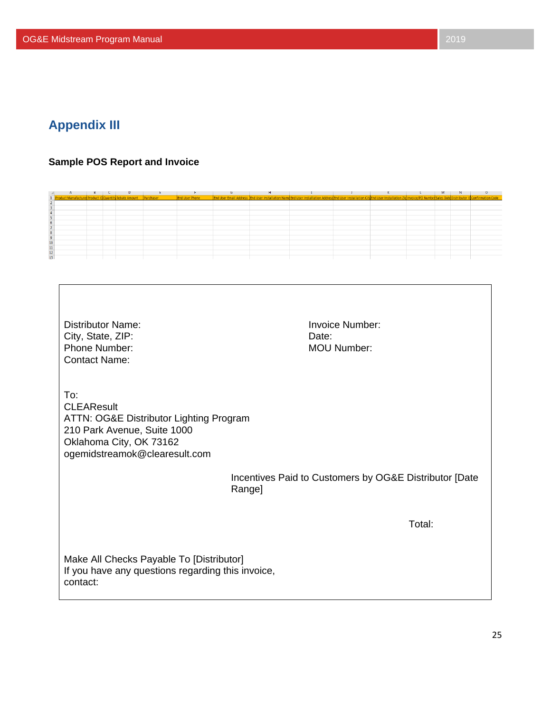# <span id="page-25-0"></span>**Appendix III**

#### <span id="page-25-1"></span>**Sample POS Report and Invoice**

|                                                                    |  |  |                       |  |                                                                                                                                                                                                    |  | <b>IVI</b> |  |
|--------------------------------------------------------------------|--|--|-----------------------|--|----------------------------------------------------------------------------------------------------------------------------------------------------------------------------------------------------|--|------------|--|
| 1 Product Manufacturer Product ID Quantity Rebate Amount Purchaser |  |  | <b>End User Phone</b> |  | End User Email Address End User Installation Name End User Installation Address End User Installation City End User Installation Zip Invoice/PO Number Sales Date Distributor ID Confirmation Code |  |            |  |
|                                                                    |  |  |                       |  |                                                                                                                                                                                                    |  |            |  |
|                                                                    |  |  |                       |  |                                                                                                                                                                                                    |  |            |  |
|                                                                    |  |  |                       |  |                                                                                                                                                                                                    |  |            |  |
|                                                                    |  |  |                       |  |                                                                                                                                                                                                    |  |            |  |
|                                                                    |  |  |                       |  |                                                                                                                                                                                                    |  |            |  |
|                                                                    |  |  |                       |  |                                                                                                                                                                                                    |  |            |  |
|                                                                    |  |  |                       |  |                                                                                                                                                                                                    |  |            |  |
|                                                                    |  |  |                       |  |                                                                                                                                                                                                    |  |            |  |
|                                                                    |  |  |                       |  |                                                                                                                                                                                                    |  |            |  |
|                                                                    |  |  |                       |  |                                                                                                                                                                                                    |  |            |  |
|                                                                    |  |  |                       |  |                                                                                                                                                                                                    |  |            |  |
|                                                                    |  |  |                       |  |                                                                                                                                                                                                    |  |            |  |
|                                                                    |  |  |                       |  |                                                                                                                                                                                                    |  |            |  |

Distributor Name: Invoice Number: City, State, ZIP: Date: Date: Phone Number: MOU Number: Contact Name:

To:

**CLEAResult** ATTN: OG&E Distributor Lighting Program 210 Park Avenue, Suite 1000 Oklahoma City, OK 73162 ogemidstreamok@clearesult.com

> Incentives Paid to Customers by OG&E Distributor [Date Range]

> > Total:

Make All Checks Payable To [Distributor] If you have any questions regarding this invoice, contact: